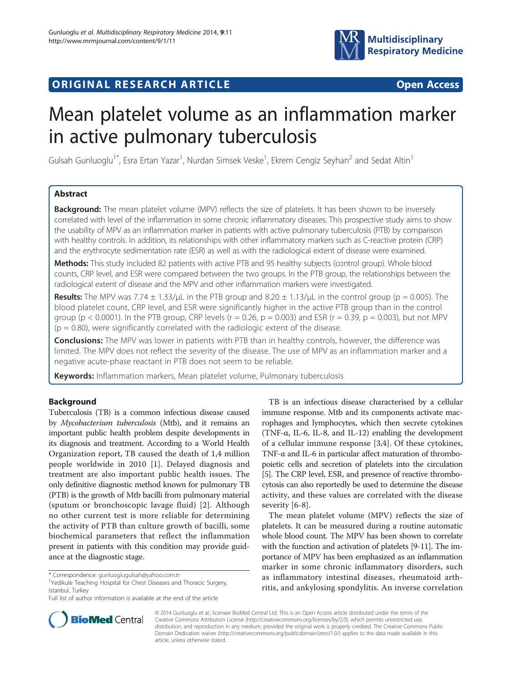

## **ORIGINAL RESEARCH ARTICLE CONSUMING ACCESS**

# Mean platelet volume as an inflammation marker in active pulmonary tuberculosis

Gulsah Gunluoglu<sup>1\*</sup>, Esra Ertan Yazar<sup>1</sup>, Nurdan Simsek Veske<sup>1</sup>, Ekrem Cengiz Seyhan<sup>2</sup> and Sedat Altin<sup>1</sup>

## Abstract

**Background:** The mean platelet volume (MPV) reflects the size of platelets. It has been shown to be inversely correlated with level of the inflammation in some chronic inflammatory diseases. This prospective study aims to show the usability of MPV as an inflammation marker in patients with active pulmonary tuberculosis (PTB) by comparison with healthy controls. In addition, its relationships with other inflammatory markers such as C-reactive protein (CRP) and the erythrocyte sedimentation rate (ESR) as well as with the radiological extent of disease were examined.

Methods: This study included 82 patients with active PTB and 95 healthy subjects (control group). Whole blood counts, CRP level, and ESR were compared between the two groups. In the PTB group, the relationships between the radiological extent of disease and the MPV and other inflammation markers were investigated.

**Results:** The MPV was 7.74  $\pm$  1.33/μL in the PTB group and 8.20  $\pm$  1.13/μL in the control group (p = 0.005). The blood platelet count, CRP level, and ESR were significantly higher in the active PTB group than in the control group ( $p < 0.0001$ ). In the PTB group, CRP levels ( $r = 0.26$ ,  $p = 0.003$ ) and ESR ( $r = 0.39$ ,  $p = 0.003$ ), but not MPV  $(p = 0.80)$ , were significantly correlated with the radiologic extent of the disease.

**Conclusions:** The MPV was lower in patients with PTB than in healthy controls, however, the difference was limited. The MPV does not reflect the severity of the disease. The use of MPV as an inflammation marker and a negative acute-phase reactant in PTB does not seem to be reliable.

Keywords: Inflammation markers, Mean platelet volume, Pulmonary tuberculosis

## Background

Tuberculosis (TB) is a common infectious disease caused by Mycobacterium tuberculosis (Mtb), and it remains an important public health problem despite developments in its diagnosis and treatment. According to a World Health Organization report, TB caused the death of 1,4 million people worldwide in 2010 [[1\]](#page-3-0). Delayed diagnosis and treatment are also important public health issues. The only definitive diagnostic method known for pulmonary TB (PTB) is the growth of Mtb bacilli from pulmonary material (sputum or bronchoscopic lavage fluid) [[2\]](#page-3-0). Although no other current test is more reliable for determining the activity of PTB than culture growth of bacilli, some biochemical parameters that reflect the inflammation present in patients with this condition may provide guidance at the diagnostic stage.

TB is an infectious disease characterised by a cellular immune response. Mtb and its components activate macrophages and lymphocytes, which then secrete cytokines (TNF-α, IL-6, IL-8, and IL-12) enabling the development of a cellular immune response [[3,4](#page-3-0)]. Of these cytokines, TNF-α and IL-6 in particular affect maturation of thrombopoietic cells and secretion of platelets into the circulation [[5](#page-3-0)]. The CRP level, ESR, and presence of reactive thrombocytosis can also reportedly be used to determine the disease activity, and these values are correlated with the disease severity [\[6](#page-3-0)-[8\]](#page-3-0).

The mean platelet volume (MPV) reflects the size of platelets. It can be measured during a routine automatic whole blood count. The MPV has been shown to correlate with the function and activation of platelets [\[9-11\]](#page-3-0). The importance of MPV has been emphasized as an inflammation marker in some chronic inflammatory disorders, such as inflammatory intestinal diseases, rheumatoid arthritis, and ankylosing spondylitis. An inverse correlation



© 2014 Gunluoglu et al.; licensee BioMed Central Ltd. This is an Open Access article distributed under the terms of the Creative Commons Attribution License (<http://creativecommons.org/licenses/by/2.0>), which permits unrestricted use, distribution, and reproduction in any medium, provided the original work is properly credited. The Creative Commons Public Domain Dedication waiver [\(http://creativecommons.org/publicdomain/zero/1.0/\)](http://creativecommons.org/publicdomain/zero/1.0/) applies to the data made available in this article, unless otherwise stated.

<sup>\*</sup> Correspondence: [gunluoglugulsah@yahoo.com.tr](mailto:gunluoglugulsah@yahoo.com.tr) <sup>1</sup>

<sup>&</sup>lt;sup>1</sup>Yedikule Teaching Hospital for Chest Diseases and Thoracic Surgery, Istanbul, Turkey

Full list of author information is available at the end of the article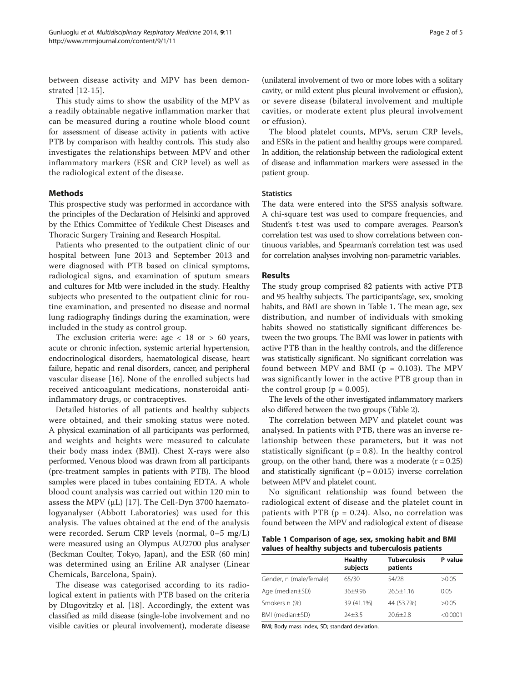between disease activity and MPV has been demonstrated [[12](#page-3-0)-[15\]](#page-3-0).

This study aims to show the usability of the MPV as a readily obtainable negative inflammation marker that can be measured during a routine whole blood count for assessment of disease activity in patients with active PTB by comparison with healthy controls. This study also investigates the relationships between MPV and other inflammatory markers (ESR and CRP level) as well as the radiological extent of the disease.

## Methods

This prospective study was performed in accordance with the principles of the Declaration of Helsinki and approved by the Ethics Committee of Yedikule Chest Diseases and Thoracic Surgery Training and Research Hospital.

Patients who presented to the outpatient clinic of our hospital between June 2013 and September 2013 and were diagnosed with PTB based on clinical symptoms, radiological signs, and examination of sputum smears and cultures for Mtb were included in the study. Healthy subjects who presented to the outpatient clinic for routine examination, and presented no disease and normal lung radiography findings during the examination, were included in the study as control group.

The exclusion criteria were: age  $< 18$  or  $> 60$  years, acute or chronic infection, systemic arterial hypertension, endocrinological disorders, haematological disease, heart failure, hepatic and renal disorders, cancer, and peripheral vascular disease [\[16](#page-3-0)]. None of the enrolled subjects had received anticoagulant medications, nonsteroidal antiinflammatory drugs, or contraceptives.

Detailed histories of all patients and healthy subjects were obtained, and their smoking status were noted. A physical examination of all participants was performed, and weights and heights were measured to calculate their body mass index (BMI). Chest X-rays were also performed. Venous blood was drawn from all participants (pre-treatment samples in patients with PTB). The blood samples were placed in tubes containing EDTA. A whole blood count analysis was carried out within 120 min to assess the MPV ( $\mu$ L) [[17](#page-3-0)]. The Cell-Dyn 3700 haematologyanalyser (Abbott Laboratories) was used for this analysis. The values obtained at the end of the analysis were recorded. Serum CRP levels (normal, 0–5 mg/L) were measured using an Olympus AU2700 plus analyser (Beckman Coulter, Tokyo, Japan), and the ESR (60 min) was determined using an Eriline AR analyser (Linear Chemicals, Barcelona, Spain).

The disease was categorised according to its radiological extent in patients with PTB based on the criteria by Dlugovitzky et al. [\[18](#page-3-0)]. Accordingly, the extent was classified as mild disease (single-lobe involvement and no visible cavities or pleural involvement), moderate disease

(unilateral involvement of two or more lobes with a solitary cavity, or mild extent plus pleural involvement or effusion), or severe disease (bilateral involvement and multiple cavities, or moderate extent plus pleural involvement or effusion).

The blood platelet counts, MPVs, serum CRP levels, and ESRs in the patient and healthy groups were compared. In addition, the relationship between the radiological extent of disease and inflammation markers were assessed in the patient group.

#### **Statistics**

The data were entered into the SPSS analysis software. A chi-square test was used to compare frequencies, and Student's t-test was used to compare averages. Pearson's correlation test was used to show correlations between continuous variables, and Spearman's correlation test was used for correlation analyses involving non-parametric variables.

## Results

The study group comprised 82 patients with active PTB and 95 healthy subjects. The participants'age, sex, smoking habits, and BMI are shown in Table 1. The mean age, sex distribution, and number of individuals with smoking habits showed no statistically significant differences between the two groups. The BMI was lower in patients with active PTB than in the healthy controls, and the difference was statistically significant. No significant correlation was found between MPV and BMI ( $p = 0.103$ ). The MPV was significantly lower in the active PTB group than in the control group ( $p = 0.005$ ).

The levels of the other investigated inflammatory markers also differed between the two groups (Table [2\)](#page-2-0).

The correlation between MPV and platelet count was analysed. In patients with PTB, there was an inverse relationship between these parameters, but it was not statistically significant ( $p = 0.8$ ). In the healthy control group, on the other hand, there was a moderate  $(r = 0.25)$ and statistically significant  $(p = 0.015)$  inverse correlation between MPV and platelet count.

No significant relationship was found between the radiological extent of disease and the platelet count in patients with PTB ( $p = 0.24$ ). Also, no correlation was found between the MPV and radiological extent of disease

Table 1 Comparison of age, sex, smoking habit and BMI values of healthy subjects and tuberculosis patients

|                         | Healthy<br>subjects | <b>Tuberculosis</b><br>patients | P value  |
|-------------------------|---------------------|---------------------------------|----------|
| Gender, n (male/female) | 65/30               | 54/28                           | >0.05    |
| Age (median±SD)         | $36+996$            | $26.5 + 1.16$                   | 0.05     |
| Smokers n (%)           | 39 (41.1%)          | 44 (53.7%)                      | >0.05    |
| BMI (median±SD)         | $74 + 3.5$          | $20.6 + 2.8$                    | < 0.0001 |

BMI; Body mass index, SD; standard deviation.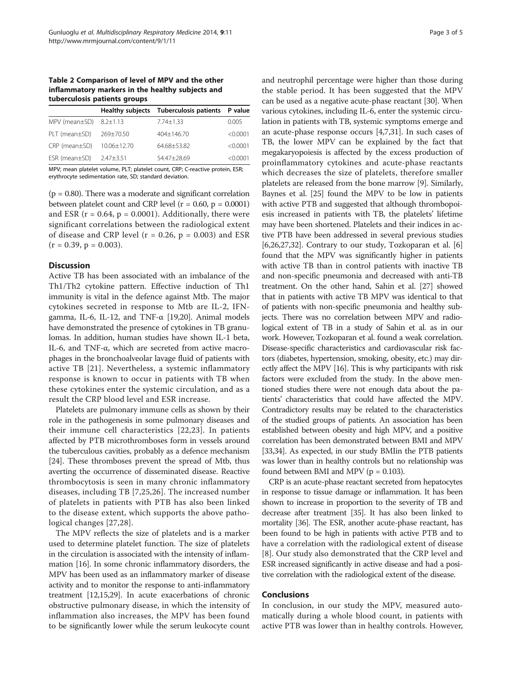<span id="page-2-0"></span>Table 2 Comparison of level of MPV and the other inflammatory markers in the healthy subjects and tuberculosis patients groups

|                                    |               | Healthy subjects Tuberculosis patients P value |          |
|------------------------------------|---------------|------------------------------------------------|----------|
| MPV (mean $\pm$ SD) 8.2 $\pm$ 1.13 |               | $7.74 + 1.33$                                  | 0.005    |
| $PLT$ (mean $\pm$ SD)              | 269±70.50     | $404+146.70$                                   | < 0.0001 |
| $CRP$ (mean $\pm SD$ )             | 10.06±12.70   | 64.68+53.82                                    | < 0.0001 |
| $ESR$ (mean $\pm SD$ )             | $2.47 + 3.51$ | 54.47+28.69                                    | < 0.0001 |

MPV; mean platelet volume, PLT; platelet count, CRP; C-reactive protein, ESR; erythrocyte sedimentation rate, SD; standard deviation.

 $(p = 0.80)$ . There was a moderate and significant correlation between platelet count and CRP level  $(r = 0.60, p = 0.0001)$ and ESR ( $r = 0.64$ ,  $p = 0.0001$ ). Additionally, there were significant correlations between the radiological extent of disease and CRP level ( $r = 0.26$ ,  $p = 0.003$ ) and ESR  $(r = 0.39, p = 0.003).$ 

## **Discussion**

Active TB has been associated with an imbalance of the Th1/Th2 cytokine pattern. Effective induction of Th1 immunity is vital in the defence against Mtb. The major cytokines secreted in response to Mtb are IL-2, IFNgamma, IL-6, IL-12, and TNF- $\alpha$  [\[19,20\]](#page-3-0). Animal models have demonstrated the presence of cytokines in TB granulomas. In addition, human studies have shown IL-1 beta, IL-6, and TNF-α, which are secreted from active macrophages in the bronchoalveolar lavage fluid of patients with active TB [[21\]](#page-3-0). Nevertheless, a systemic inflammatory response is known to occur in patients with TB when these cytokines enter the systemic circulation, and as a result the CRP blood level and ESR increase.

Platelets are pulmonary immune cells as shown by their role in the pathogenesis in some pulmonary diseases and their immune cell characteristics [[22](#page-3-0),[23\]](#page-3-0). In patients affected by PTB microthromboses form in vessels around the tuberculous cavities, probably as a defence mechanism [[24](#page-3-0)]. These thromboses prevent the spread of Mtb, thus averting the occurrence of disseminated disease. Reactive thrombocytosis is seen in many chronic inflammatory diseases, including TB [[7,25,26](#page-3-0)]. The increased number of platelets in patients with PTB has also been linked to the disease extent, which supports the above pathological changes [[27,28](#page-3-0)].

The MPV reflects the size of platelets and is a marker used to determine platelet function. The size of platelets in the circulation is associated with the intensity of inflammation [\[16\]](#page-3-0). In some chronic inflammatory disorders, the MPV has been used as an inflammatory marker of disease activity and to monitor the response to anti-inflammatory treatment [\[12,15](#page-3-0),[29](#page-3-0)]. In acute exacerbations of chronic obstructive pulmonary disease, in which the intensity of inflammation also increases, the MPV has been found to be significantly lower while the serum leukocyte count and neutrophil percentage were higher than those during the stable period. It has been suggested that the MPV can be used as a negative acute-phase reactant [\[30\]](#page-3-0). When various cytokines, including IL-6, enter the systemic circulation in patients with TB, systemic symptoms emerge and an acute-phase response occurs [\[4,7](#page-3-0)[,31\]](#page-4-0). In such cases of TB, the lower MPV can be explained by the fact that megakaryopoiesis is affected by the excess production of proinflammatory cytokines and acute-phase reactants which decreases the size of platelets, therefore smaller platelets are released from the bone marrow [[9](#page-3-0)]. Similarly, Baynes et al. [\[25\]](#page-3-0) found the MPV to be low in patients with active PTB and suggested that although thrombopoiesis increased in patients with TB, the platelets' lifetime may have been shortened. Platelets and their indices in active PTB have been addressed in several previous studies [[6,26,27](#page-3-0)[,32\]](#page-4-0). Contrary to our study, Tozkoparan et al. [[6](#page-3-0)] found that the MPV was significantly higher in patients with active TB than in control patients with inactive TB and non-specific pneumonia and decreased with anti-TB treatment. On the other hand, Sahin et al. [\[27\]](#page-3-0) showed that in patients with active TB MPV was identical to that of patients with non-specific pneumonia and healthy subjects. There was no correlation between MPV and radiological extent of TB in a study of Sahin et al. as in our work. However, Tozkoparan et al. found a weak correlation. Disease-specific characteristics and cardiovascular risk factors (diabetes, hypertension, smoking, obesity, etc.) may directly affect the MPV [\[16\]](#page-3-0). This is why participants with risk factors were excluded from the study. In the above mentioned studies there were not enough data about the patients' characteristics that could have affected the MPV. Contradictory results may be related to the characteristics of the studied groups of patients. An association has been established between obesity and high MPV, and a positive correlation has been demonstrated between BMI and MPV [[33,34\]](#page-4-0). As expected, in our study BMIin the PTB patients was lower than in healthy controls but no relationship was found between BMI and MPV ( $p = 0.103$ ).

CRP is an acute-phase reactant secreted from hepatocytes in response to tissue damage or inflammation. It has been shown to increase in proportion to the severity of TB and decrease after treatment [\[35](#page-4-0)]. It has also been linked to mortality [[36](#page-4-0)]. The ESR, another acute-phase reactant, has been found to be high in patients with active PTB and to have a correlation with the radiological extent of disease [[8](#page-3-0)]. Our study also demonstrated that the CRP level and ESR increased significantly in active disease and had a positive correlation with the radiological extent of the disease.

## Conclusions

In conclusion, in our study the MPV, measured automatically during a whole blood count, in patients with active PTB was lower than in healthy controls. However,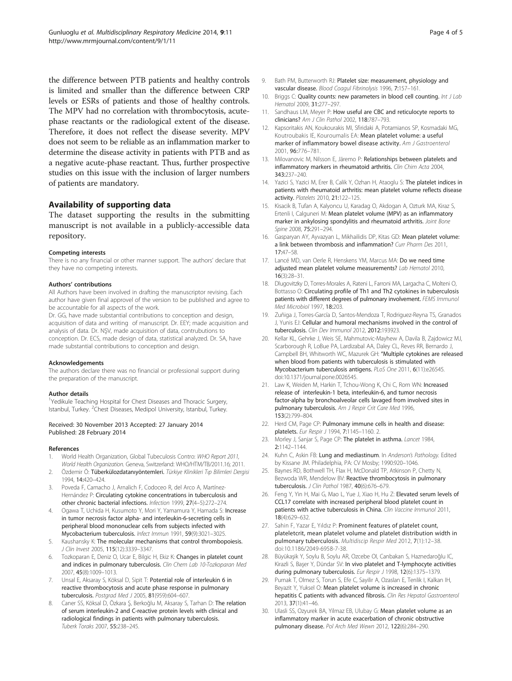<span id="page-3-0"></span>the difference between PTB patients and healthy controls is limited and smaller than the difference between CRP levels or ESRs of patients and those of healthy controls. The MPV had no correlation with thrombocytosis, acutephase reactants or the radiological extent of the disease. Therefore, it does not reflect the disease severity. MPV does not seem to be reliable as an inflammation marker to determine the disease activity in patients with PTB and as a negative acute-phase reactant. Thus, further prospective studies on this issue with the inclusion of larger numbers of patients are mandatory.

## Availability of supporting data

The dataset supporting the results in the submitting manuscript is not available in a publicly-accessible data repository.

#### Competing interests

There is no any financial or other manner support. The authors' declare that they have no competing interests.

#### Authors' contributions

All Authors have been involved in drafting the manuscriptor revising. Each author have given final approvel of the version to be published and agree to be accountable for all aspects of the work.

Dr. GG, have made substantial contributions to conception and design, acquisition of data and writing of manuscript. Dr. EEY; made acquisition and analysis of data. Dr. NŞV, made acquisition of data, contrubutions to conception. Dr. ECS, made design of data, statistical analyzed. Dr. SA, have made substantial contributions to conception and design.

#### Acknowledgements

The authors declare there was no financial or professional support during the preparation of the manuscript.

#### Author details

<sup>1</sup>Yedikule Teaching Hospital for Chest Diseases and Thoracic Surgery, Istanbul, Turkey. <sup>2</sup>Chest Diseases, Medipol University, Istanbul, Turkey.

#### Received: 30 November 2013 Accepted: 27 January 2014 Published: 28 February 2014

#### References

- 1. World Health Organization, Global Tubeculosis Contro: WHO Report 2011, World Health Organization. Geneva, Switzerland: WHO/HTM/TB/2011.16; 2011.
- 2. Özdemir Ö: Tüberkülozdatanıyöntemleri. Türkiye Klinikleri Tıp Bilimleri Dergisi 1994, 14:420–424.
- 3. Poveda F, Camacho J, Arnalich F, Codoceo R, del Arco A, Martínez-Hernández P: Circulating cytokine concentrations in tuberculosis and other chronic bacterial infections. Infection 1999, 27(4–5):272–274.
- 4. Ogawa T, Uchida H, Kusumoto Y, Mori Y, Yamamura Y, Hamada S: Increase in tumor necrosis factor alpha- and interleukin-6-secreting cells in peripheral blood mononuclear cells from subjects infected with Mycobacterium tuberculosis. Infect Immun 1991, 59(9):3021–3025.
- 5. Kaushansky K: The molecular mechanisms that control thrombopoiesis. J Clin Invest 2005, 115(12):3339–3347.
- 6. Tozkoparan E, Deniz O, Ucar E, Bilgic H, Ekiz K: Changes in platelet count and indices in pulmonary tuberculosis. Clin Chem Lab 10-Tozkoparan Med 2007, 45(8):1009–1013.
- Unsal E, Aksaray S, Köksal D, Sipit T: Potential role of interleukin 6 in reactive thrombocytosis and acute phase response in pulmonary tuberculosis. Postgrad Med J 2005, 81(959):604–607.
- Caner SS, Köksal D, Özkara Ş, Berkoğlu M, Aksaray S, Tarhan D: The relation of serum interleukin-2 and C-reactive protein levels with clinical and radiological findings in patients with pulmonary tuberculosis. Tuberk Toraks 2007, 55:238–245.
- 9. Bath PM, Butterworth RJ: Platelet size: measurement, physiology and vascular disease. Blood Coagul Fibrinolysis 1996, 7:157–161.
- 10. Briggs C: Quality counts: new parameters in blood cell counting. Int J Lab Hematol 2009, 31:277–297.
- 11. Sandhaus LM, Meyer P: How useful are CBC and reticulocyte reports to clinicians? Am J Clin Pathol 2002, 118:787–793.
- 12. Kapsoritakis AN, Koukourakis MI, Sfiridaki A, Potamianos SP, Kosmadaki MG, Koutroubakis IE, Kouroumalis EA: Mean platelet volume: a useful marker of inflammatory bowel disease activity. Am J Gastroenterol 2001, 96:776–781.
- 13. Milovanovic M, Nilsson E, Järemo P: Relationships between platelets and inflammatory markers in rheumatoid arthritis. Clin Chim Acta 2004, 343:237–240.
- 14. Yazici S, Yazici M, Erer B, Calik Y, Ozhan H, Ataoglu S: The platelet indices in patients with rheumatoid arthritis: mean platelet volume reflects disease activity. Platelets 2010, 21:122–125.
- 15. Kisacik B, Tufan A, Kalyoncu U, Karadag O, Akdogan A, Ozturk MA, Kiraz S, Ertenli I, Calguneri M: Mean platelet volume (MPV) as an inflammatory marker in ankylosing spondylitis and rheumatoid arthritis. Joint Bone Spine 2008, 75:291–294.
- 16. Gasparyan AY, Ayvazyan L, Mikhailidis DP, Kitas GD: Mean platelet volume: a link between thrombosis and inflammation? Curr Pharm Des 2011, 17:47–58.
- 17. Lancé MD, van Oerle R, Henskens YM, Marcus MA: Do we need time adjusted mean platelet volume measurements? Lab Hematol 2010, 16(3):28–31.
- 18. Dlugovitzky D, Torres-Morales A, Rateni L, Farroni MA, Largacha C, Molteni O, Bottasso O: Circulating profile of Th1 and Th2 cytokines in tuberculosis patients with different degrees of pulmonary involvement. FEMS Immunol Med Microbiol 1997, 18:203.
- 19. Zuñiga J, Torres-García D, Santos-Mendoza T, Rodriguez-Reyna TS, Granados J, Yunis EJ: Cellular and humoral mechanisms involved in the control of tuberculosis. Clin Dev Immunol 2012, 2012:193923.
- 20. Kellar KL, Gehrke J, Weis SE, Mahmutovic-Mayhew A, Davila B, Zajdowicz MJ, Scarborough R, LoBue PA, Lardizabal AA, Daley CL, Reves RR, Bernardo J, Campbell BH, Whitworth WC, Mazurek GH: "Multiple cytokines are released when blood from patients with tuberculosis is stimulated with Mycobacterium tuberculosis antigens. PLoS One 2011, 6(11):e26545. doi:10.1371/journal.pone.0026545.
- 21. Law K, Weiden M, Harkin T, Tchou-Wong K, Chi C, Rom WN: Increased release of interleukin-1 beta, interleukin-6, and tumor necrosis factor-alpha by bronchoalveolar cells lavaged from involved sites in pulmonary tuberculosis. Am J Respir Crit Care Med 1996, 153(2):799–804.
- 22. Herd CM, Page CP: Pulmonary immune cells in health and disease: platelets. Eur Respir J 1994, 7:1145–1160. 2.
- 23. Morley J, Sanjar S, Page CP: The platelet in asthma. Lancet 1984, 2:1142–1144.
- 24. Kuhn C, Askin FB: Lung and mediastinum. In Anderson's Pathology. Edited by Kissane JM. Philadelphia, PA: CV Mosby; 1990:920–1046.
- 25. Baynes RD, Bothwell TH, Flax H, McDonald TP, Atkinson P, Chetty N, Bezwoda WR, Mendelow BV: Reactive thrombocytosis in pulmonary tuberculosis. J Clin Pathol 1987, 40(6):676–679.
- 26. Feng Y, Yin H, Mai G, Mao L, Yue J, Xiao H, Hu Z: Elevated serum levels of CCL17 correlate with increased peripheral blood platelet count in patients with active tuberculosis in China. Clin Vaccine Immunol 2011, 18(4):629–632.
- 27. Sahin F, Yazar E, Yıldız P: Prominent features of platelet count, plateletcrit, mean platelet volume and platelet distribution width in pulmonary tuberculosis. Multidiscip Respir Med 2012, 7(1):12–38. doi:10.1186/2049-6958-7-38.
- 28. Büyükaşik Y, Soylu B, Soylu AR, Ozcebe OI, Canbakan S, Haznedaroğlu IC, Kirazli S, Başer Y, Dündar SV: In vivo platelet and T-lymphocyte activities during pulmonary tuberculosis. Eur Respir J 1998, 12(6):1375-1379.
- 29. Purnak T, Olmez S, Torun S, Efe C, Sayilir A, Ozaslan E, Tenlik I, Kalkan IH, Beyazit Y, Yuksel O: Mean platelet volume is increased in chronic hepatitis C patients with advanced fibrosis. Clin Res Hepatol Gastroenterol 2013, 37(1):41–46.
- 30. Ulasli SS, Ozyurek BA, Yilmaz EB, Ulubay G: Mean platelet volume as an inflammatory marker in acute exacerbation of chronic obstructive pulmonary disease. Pol Arch Med Wewn 2012, 122(6):284–290.